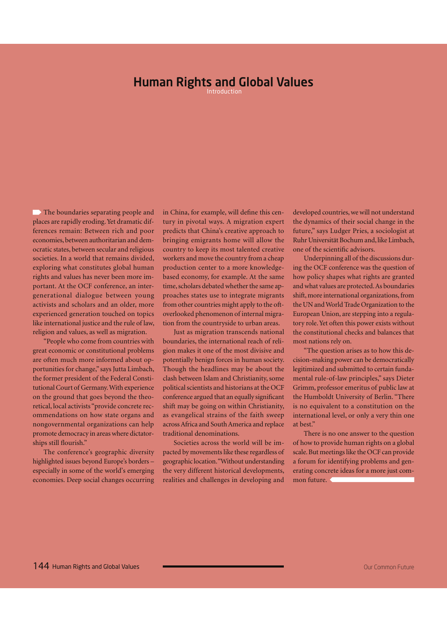## Human Rights and Global Values

The boundaries separating people and places are rapidly eroding. Yet dramatic differences remain: Between rich and poor economies, between authoritarian and democratic states, between secular and religious societies. In a world that remains divided, exploring what constitutes global human rights and values has never been more important. At the OCF conference, an intergenerational dialogue between young activists and scholars and an older, more experienced generation touched on topics like international justice and the rule of law, religion and values, as well as migration.

"People who come from countries with great economic or constitutional problems are often much more informed about opportunities for change," says Jutta Limbach, the former president of the Federal Constitutional Court of Germany. With experience on the ground that goes beyond the theoretical, local activists "provide concrete recommendations on how state organs and nongovernmental organizations can help promote democracy in areas where dictatorships still flourish."

The conference's geographic diversity highlighted issues beyond Europe's borders – especially in some of the world's emerging economies. Deep social changes occurring in China, for example, will define this century in pivotal ways. A migration expert predicts that China's creative approach to bringing emigrants home will allow the country to keep its most talented creative workers and move the country from a cheap production center to a more knowledgebased economy, for example. At the same time, scholars debated whether the same approaches states use to integrate migrants from other countries might apply to the oftoverlooked phenomenon of internal migration from the countryside to urban areas.

Just as migration transcends national boundaries, the international reach of religion makes it one of the most divisive and potentially benign forces in human society. Though the headlines may be about the clash between Islam and Christianity, some political scientists and historians at the OCF conference argued that an equally significant shift may be going on within Christianity, as evangelical strains of the faith sweep across Africa and South America and replace traditional denominations.

Societies across the world will be impacted by movements like these regardless of geographic location. "Without understanding the very different historical developments, realities and challenges in developing and developed countries, we will not understand the dynamics of their social change in the future," says Ludger Pries, a sociologist at Ruhr Universität Bochum and, like Limbach, one of the scientific advisors.

Underpinning all of the discussions during the OCF conference was the question of how policy shapes what rights are granted and what values are protected. As boundaries shift, more international organizations, from the UN and World Trade Organization to the European Union, are stepping into a regulatory role. Yet often this power exists without the constitutional checks and balances that most nations rely on.

"The question arises as to how this decision-making power can be democratically legitimized and submitted to certain fundamental rule-of-law principles," says Dieter Grimm, professor emeritus of public law at the Humboldt University of Berlin. "There is no equivalent to a constitution on the international level, or only a very thin one at best."

There is no one answer to the question of how to provide human rights on a global scale. But meetings like the OCF can provide a forum for identifying problems and generating concrete ideas for a more just common future.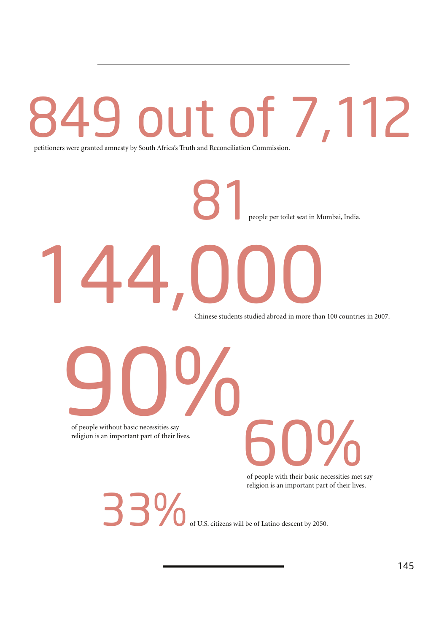# 7,112

petitioners were granted amnesty by South Africa's Truth and Reconciliation Commission.

people per toilet seat in Mumbai, India. 14,000 81

Chinese students studied abroad in more than 100 countries in 2007.

of people without basic necessities say religion is an important part of their lives. experience without basic necessities say

of people with their basic necessities met say religion is an important part of their lives. **600 COLOGED** 

of U.S. citizens will be of Latino descent by 2050. 33%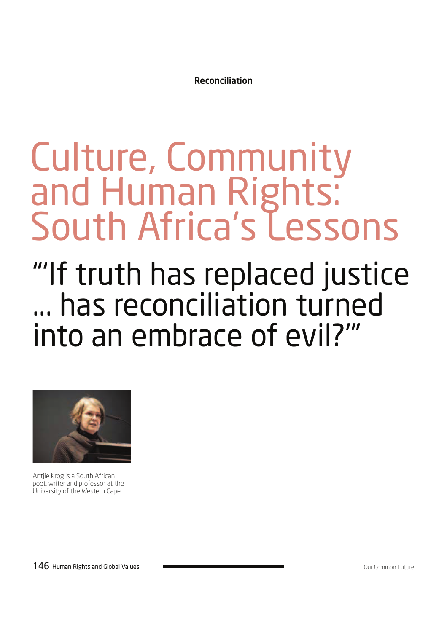Reconciliation

# Culture, Community and Human Rights: South Africa's Lessons

# "'If truth has replaced justice ... has reconciliation turned into an embrace of evil?'"



Antjie Krog is a South African poet, writer and professor at the University of the Western Cape.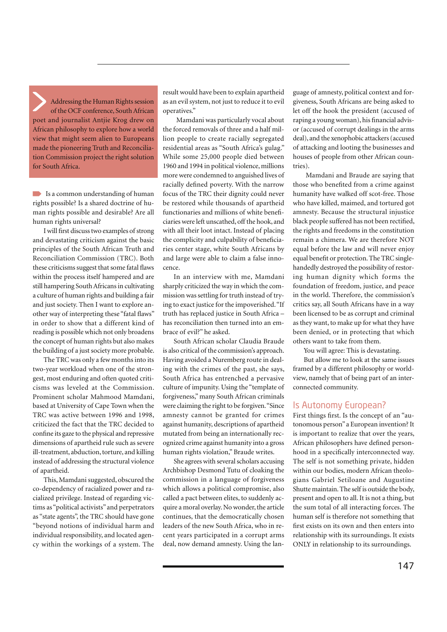Addressing the Human Rights session of the OCF conference, South African poet and journalist Antjie Krog drew on African philosophy to explore how a world view that might seem alien to Europeans made the pioneering Truth and Reconciliation Commission project the right solution for South Africa.

 $\blacksquare$  Is a common understanding of human rights possible? Is a shared doctrine of human rights possible and desirable? Are all human rights universal?

I will first discuss two examples of strong and devastating criticism against the basic principles of the South African Truth and Reconciliation Commission (TRC). Both these criticisms suggest that some fatal flaws within the process itself hampered and are still hampering South Africans in cultivating a culture of human rights and building a fair and just society. Then I want to explore another way of interpreting these "fatal flaws" in order to show that a different kind of reading is possible which not only broadens the concept of human rights but also makes the building of a just society more probable.

The TRC was only a few months into its two-year workload when one of the strongest, most enduring and often quoted criticisms was leveled at the Commission. Prominent scholar Mahmood Mamdani, based at University of Cape Town when the TRC was active between 1996 and 1998, criticized the fact that the TRC decided to confine its gaze to the physical and repressive dimensions of apartheid rule such as severe ill-treatment, abduction, torture, and killing instead of addressing the structural violence of apartheid.

This, Mamdani suggested, obscured the co-dependency of racialized power and racialized privilege. Instead of regarding victims as "political activists" and perpetrators as "state agents", the TRC should have gone "beyond notions of individual harm and individual responsibility, and located agency within the workings of a system. The result would have been to explain apartheid as an evil system, not just to reduce it to evil operatives."

 Mamdani was particularly vocal about the forced removals of three and a half million people to create racially segregated residential areas as "South Africa's gulag." While some 25,000 people died between 1960 and 1994 in political violence, millions more were condemned to anguished lives of racially defined poverty. With the narrow focus of the TRC their dignity could never be restored while thousands of apartheid functionaries and millions of white beneficiaries were left unscathed, off the hook, and with all their loot intact. Instead of placing the complicity and culpability of beneficiaries center stage, white South Africans by and large were able to claim a false innocence.

In an interview with me, Mamdani sharply criticized the way in which the commission was settling for truth instead of trying to exact justice for the impoverished. "If truth has replaced justice in South Africa – has reconciliation then turned into an embrace of evil?" he asked.

South African scholar Claudia Braude is also critical of the commission's approach. Having avoided a Nuremberg route in dealing with the crimes of the past, she says, South Africa has entrenched a pervasive culture of impunity. Using the "template of forgiveness," many South African criminals were claiming the right to be forgiven. "Since amnesty cannot be granted for crimes against humanity, descriptions of apartheid mutated from being an internationally recognized crime against humanity into a gross human rights violation," Braude writes.

She agrees with several scholars accusing Archbishop Desmond Tutu of cloaking the commission in a language of forgiveness which allows a political compromise, also called a pact between elites, to suddenly acquire a moral overlay. No wonder, the article continues, that the democratically chosen leaders of the new South Africa, who in recent years participated in a corrupt arms deal, now demand amnesty. Using the language of amnesty, political context and forgiveness, South Africans are being asked to let off the hook the president (accused of raping a young woman), his financial advisor (accused of corrupt dealings in the arms deal), and the xenophobic attackers (accused of attacking and looting the businesses and houses of people from other African countries).

 Mamdani and Braude are saying that those who benefited from a crime against humanity have walked off scot-free. Those who have killed, maimed, and tortured got amnesty. Because the structural injustice black people suffered has not been rectified, the rights and freedoms in the constitution remain a chimera. We are therefore NOT equal before the law and will never enjoy equal benefit or protection. The TRC singlehandedly destroyed the possibility of restoring human dignity which forms the foundation of freedom, justice, and peace in the world. Therefore, the commission's critics say, all South Africans have in a way been licensed to be as corrupt and criminal as they want, to make up for what they have been denied, or in protecting that which others want to take from them.

You will agree: This is devastating.

But allow me to look at the same issues framed by a different philosophy or worldview, namely that of being part of an interconnected community.

#### Is Autonomy European?

First things first. Is the concept of an "autonomous person" a European invention? It is important to realize that over the years, African philosophers have defined personhood in a specifically interconnected way. The self is not something private, hidden within our bodies, modern African theologians Gabriel Setiloane and Augustine Shutte maintain. The self is outside the body, present and open to all. It is not a thing, but the sum total of all interacting forces. The human self is therefore not something that first exists on its own and then enters into relationship with its surroundings. It exists ONLY in relationship to its surroundings.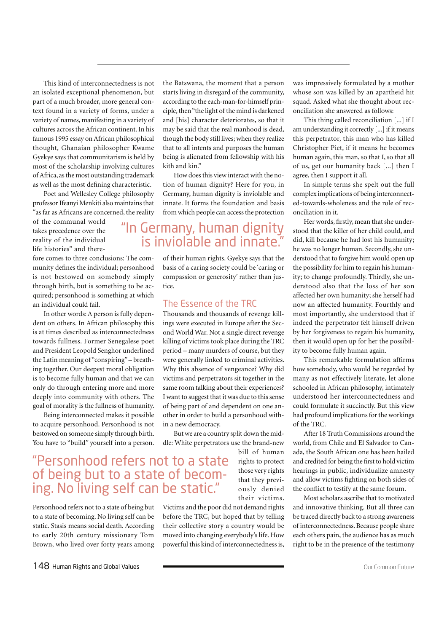This kind of interconnectedness is not an isolated exceptional phenomenon, but part of a much broader, more general context found in a variety of forms, under a variety of names, manifesting in a variety of cultures across the African continent. In his famous 1995 essay on African philosophical thought, Ghanaian philosopher Kwame Gyekye says that communitarism is held by most of the scholarship involving cultures of Africa, as the most outstanding trademark as well as the most defining characteristic.

Poet and Wellesley College philosophy professor Ifeanyi Menkiti also maintains that "as far as Africans are concerned, the reality

of the communal world takes precedence over the reality of the individual life histories" and there-

fore comes to three conclusions: The community defines the individual; personhood is not bestowed on somebody simply through birth, but is something to be acquired; personhood is something at which an individual could fail.

In other words: A person is fully dependent on others. In African philosophy this is at times described as interconnectedness towards fullness. Former Senegalese poet and President Leopold Senghor underlined the Latin meaning of "conspiring" – breathing together. Our deepest moral obligation is to become fully human and that we can only do through entering more and more deeply into community with others. The goal of morality is the fullness of humanity.

Being interconnected makes it possible to acquire personhood. Personhood is not bestowed on someone simply through birth. You have to "build" yourself into a person.

## "Personhood refers not to a state of being but to a state of becoming. No living self can be static."

Personhood refers not to a state of being but to a state of becoming. No living self can be static. Stasis means social death. According to early 20th century missionary Tom Brown, who lived over forty years among the Batswana, the moment that a person starts living in disregard of the community, according to the each-man-for-himself principle, then "the light of the mind is darkened and [his] character deteriorates, so that it may be said that the real manhood is dead, though the body still lives; when they realize that to all intents and purposes the human being is alienated from fellowship with his kith and kin."

How does this view interact with the notion of human dignity? Here for you, in Germany, human dignity is inviolable and innate. It forms the foundation and basis from which people can access the protection

## "In Germany, human dignity is inviolable and innate."

of their human rights. Gyekye says that the basis of a caring society could be 'caring or compassion or generosity' rather than justice.

#### The Essence of the TRC

Thousands and thousands of revenge killings were executed in Europe after the Second World War. Not a single direct revenge killing of victims took place during the TRC period – many murders of course, but they were generally linked to criminal activities. Why this absence of vengeance? Why did victims and perpetrators sit together in the same room talking about their experiences? I want to suggest that it was due to this sense of being part of and dependent on one another in order to build a personhood within a new democracy.

But we are a country split down the middle: White perpetrators use the brand-new

bill of human rights to protect those very rights that they previously denied their victims.

Victims and the poor did not demand rights before the TRC, but hoped that by telling their collective story a country would be moved into changing everybody's life. How powerful this kind of interconnectedness is,

was impressively formulated by a mother whose son was killed by an apartheid hit squad. Asked what she thought about reconciliation she answered as follows:

This thing called reconciliation [...] if I am understanding it correctly [...] if it means this perpetrator, this man who has killed Christopher Piet, if it means he becomes human again, this man, so that I, so that all of us, get our humanity back [...] then I agree, then I support it all.

In simple terms she spelt out the full complex implications of being interconnected-towards-wholeness and the role of reconciliation in it.

Her words, firstly, mean that she understood that the killer of her child could, and did, kill because he had lost his humanity; he was no longer human. Secondly, she understood that to forgive him would open up the possibility for him to regain his humanity; to change profoundly. Thirdly, she understood also that the loss of her son affected her own humanity; she herself had now an affected humanity. Fourthly and most importantly, she understood that if indeed the perpetrator felt himself driven by her forgiveness to regain his humanity, then it would open up for her the possibility to become fully human again.

This remarkable formulation affirms how somebody, who would be regarded by many as not effectively literate, let alone schooled in African philosophy, intimately understood her interconnectedness and could formulate it succinctly. But this view had profound implications for the workings of the TRC.

After 18 Truth Commissions around the world, from Chile and El Salvador to Canada, the South African one has been hailed and credited for being the first to hold victim hearings in public, individualize amnesty and allow victims fighting on both sides of the conflict to testify at the same forum.

Most scholars ascribe that to motivated and innovative thinking. But all three can be traced directly back to a strong awareness of interconnectedness. Because people share each others pain, the audience has as much right to be in the presence of the testimony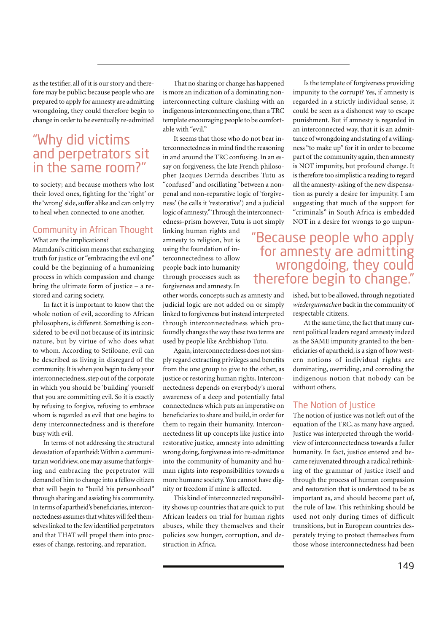as the testifier, all of it is our story and therefore may be public; because people who are prepared to apply for amnesty are admitting wrongdoing, they could therefore begin to change in order to be eventually re-admitted

## "Why did victims and perpetrators sit in the same room?"

to society; and because mothers who lost their loved ones, fighting for the 'right' or the 'wrong' side, suffer alike and can only try to heal when connected to one another.

### Community in African Thought

What are the implications?

Mamdani's criticism means that exchanging truth for justice or "embracing the evil one" could be the beginning of a humanizing process in which compassion and change bring the ultimate form of justice – a restored and caring society.

In fact it is important to know that the whole notion of evil, according to African philosophers, is different. Something is considered to be evil not because of its intrinsic nature, but by virtue of who does what to whom. According to Setiloane, evil can be described as living in disregard of the community. It is when you begin to deny your interconnectedness, step out of the corporate in which you should be 'building' yourself that you are committing evil. So it is exactly by refusing to forgive, refusing to embrace whom is regarded as evil that one begins to deny interconnectedness and is therefore busy with evil.

In terms of not addressing the structural devastation of apartheid: Within a communitarian worldview, one may assume that forgiving and embracing the perpetrator will demand of him to change into a fellow citizen that will begin to "build his personhood" through sharing and assisting his community. In terms of apartheid's beneficiaries, interconnectedness assumes that whites will feel themselves linked to the few identified perpetrators and that THAT will propel them into processes of change, restoring, and reparation.

That no sharing or change has happened is more an indication of a dominating noninterconnecting culture clashing with an indigenous interconnecting one, than a TRC template encouraging people to be comfortable with "evil"

It seems that those who do not bear interconnectedness in mind find the reasoning in and around the TRC confusing. In an essay on forgiveness, the late French philosopher Jacques Derrida describes Tutu as "confused" and oscillating "between a nonpenal and non-reparative logic of 'forgiveness' (he calls it 'restorative') and a judicial logic of amnesty." Through the interconnectedness-prism however, Tutu is not simply

linking human rights and amnesty to religion, but is using the foundation of interconnectedness to allow people back into humanity through processes such as forgiveness and amnesty. In

other words, concepts such as amnesty and judicial logic are not added on or simply linked to forgiveness but instead interpreted through interconnectedness which profoundly changes the way these two terms are used by people like Archbishop Tutu.

Again, interconnectedness does not simply regard extracting privileges and benefits from the one group to give to the other, as justice or restoring human rights. Interconnectedness depends on everybody's moral awareness of a deep and potentially fatal connectedness which puts an imperative on beneficiaries to share and build, in order for them to regain their humanity. Interconnectedness lit up concepts like justice into restorative justice, amnesty into admitting wrong doing, forgiveness into re-admittance into the community of humanity and human rights into responsibilities towards a more humane society. You cannot have dignity or freedom if mine is affected.

This kind of interconnected responsibility shows up countries that are quick to put African leaders on trial for human rights abuses, while they themselves and their policies sow hunger, corruption, and destruction in Africa.

Is the template of forgiveness providing impunity to the corrupt? Yes, if amnesty is regarded in a strictly individual sense, it could be seen as a dishonest way to escape punishment. But if amnesty is regarded in an interconnected way, that it is an admittance of wrongdoing and stating of a willingness "to make up" for it in order to become part of the community again, then amnesty is NOT impunity, but profound change. It is therefore too simplistic a reading to regard all the amnesty-asking of the new dispensation as purely a desire for impunity. I am suggesting that much of the support for "criminals" in South Africa is embedded NOT in a desire for wrongs to go unpun-

## "Because people who apply for amnesty are admitting wrongdoing, they could therefore begin to change."

ished, but to be allowed, through negotiated *wiedergutmachen* back in the community of respectable citizens.

At the same time, the fact that many current political leaders regard amnesty indeed as the SAME impunity granted to the beneficiaries of apartheid, is a sign of how western notions of individual rights are dominating, overriding, and corroding the indigenous notion that nobody can be without others.

#### The Notion of Justice

The notion of justice was not left out of the equation of the TRC, as many have argued. Justice was interpreted through the worldview of interconnectedness towards a fuller humanity. In fact, justice entered and became rejuvenated through a radical rethinking of the grammar of justice itself and through the process of human compassion and restoration that is understood to be as important as, and should become part of, the rule of law. This rethinking should be used not only during times of difficult transitions, but in European countries desperately trying to protect themselves from those whose interconnectedness had been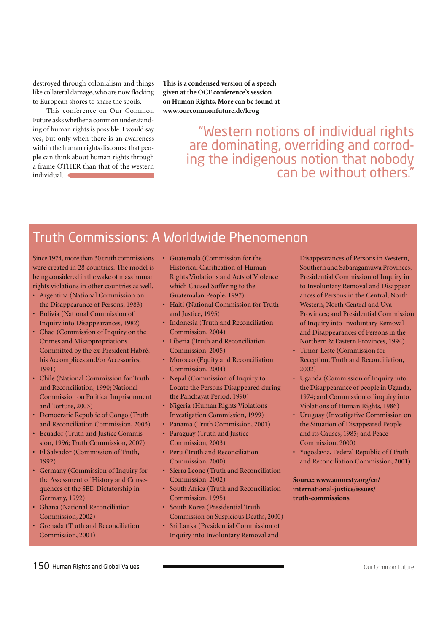destroyed through colonialism and things like collateral damage, who are now flocking to European shores to share the spoils.

 This conference on Our Common Future asks whether a common understanding of human rights is possible. I would say yes, but only when there is an awareness within the human rights discourse that people can think about human rights through a frame OTHER than that of the western individual.

**This is a condensed version of a speech given at the OCF conference's session on Human Rights. More can be found at www.ourcommonfuture.de/krog**

> "Western notions of individual rights are dominating, overriding and corroding the indigenous notion that nobody can be without others."

## Truth Commissions: A Worldwide Phenomenon

Since 1974, more than 30 truth commissions were created in 28 countries. The model is being considered in the wake of mass human rights violations in other countries as well.

- Argentina (National Commission on the Disappearance of Persons, 1983)
- Bolivia (National Commission of Inquiry into Disappearances, 1982)
- Chad (Commission of Inquiry on the Crimes and Misappropriations Committed by the ex-President Habré, his Accomplices and/or Accessories, 1991)
- Chile (National Commission for Truth and Reconciliation, 1990; National Commission on Political Imprisonment and Torture, 2003)
- Democratic Republic of Congo (Truth and Reconciliation Commission, 2003)
- Ecuador (Truth and Justice Commis sion, 1996; Truth Commission, 2007)
- El Salvador (Commission of Truth, 1992)
- Germany (Commission of Inquiry for the Assessment of History and Conse quences of the SED Dictatorship in Germany, 1992)
- Ghana (National Reconciliation Commission, 2002)
- Grenada (Truth and Reconciliation Commission, 2001)
- Guatemala (Commission for the Historical Clarification of Human Rights Violations and Acts of Violence which Caused Suffering to the Guatemalan People, 1997)
- Haiti (National Commission for Truth and Justice, 1995)
- Indonesia (Truth and Reconciliation Commission, 2004)
- Liberia (Truth and Reconciliation Commission, 2005)
- Morocco (Equity and Reconciliation Commission, 2004)
- Nepal (Commission of Inquiry to Locate the Persons Disappeared during the Panchayat Period, 1990)
- Nigeria (Human Rights Violations Investigation Commission, 1999)
- Panama (Truth Commission, 2001)
- Paraguay (Truth and Justice Commission, 2003)
- Peru (Truth and Reconciliation Commission, 2000)
- Sierra Leone (Truth and Reconciliation Commission, 2002)
- South Africa (Truth and Reconciliation Commission, 1995)
- South Korea (Presidential Truth Commission on Suspicious Deaths, 2000)
- Sri Lanka (Presidential Commission of Inquiry into Involuntary Removal and

 Disappearances of Persons in Western, Southern and Sabaragamuwa Provinces, Presidential Commission of Inquiry in to Involuntary Removal and Disappear ances of Persons in the Central, North Western, North Central and Uva Provinces; and Presidential Commission of Inquiry into Involuntary Removal and Disappearances of Persons in the Northern & Eastern Provinces, 1994)

- Timor-Leste (Commission for Reception, Truth and Reconciliation, 2002)
- Uganda (Commission of Inquiry into the Disappearance of people in Uganda, 1974; and Commission of inquiry into Violations of Human Rights, 1986)
- Uruguay (Investigative Commission on the Situation of Disappeared People and its Causes, 1985; and Peace Commission, 2000)
- Yugoslavia, Federal Republic of (Truth and Reconciliation Commission, 2001)

#### **Source: www.amnesty.org/en/ international-justice/issues/ truth-commissions**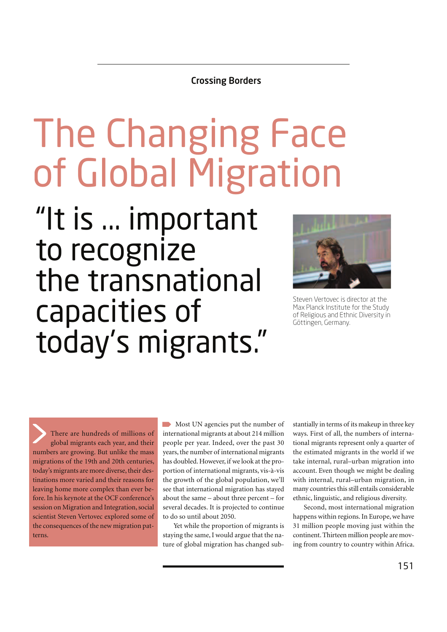### Crossing Borders

# The Changing Face of Global Migration

"It is ... important to recognize the transnational capacities of today's migrants."



Steven Vertovec is director at the Max Planck Institute for the Study of Religious and Ethnic Diversity in Göttingen, Germany.

There are hundreds of millions of global migrants each year, and their numbers are growing. But unlike the mass migrations of the 19th and 20th centuries, today's migrants are more diverse, their destinations more varied and their reasons for leaving home more complex than ever before. In his keynote at the OCF conference's session on Migration and Integration, social scientist Steven Vertovec explored some of the consequences of the new migration patterns.

Most UN agencies put the number of international migrants at about 214 million people per year. Indeed, over the past 30 years, the number of international migrants has doubled. However, if we look at the proportion of international migrants, vis-à-vis the growth of the global population, we'll see that international migration has stayed about the same – about three percent – for several decades. It is projected to continue to do so until about 2050.

Yet while the proportion of migrants is staying the same, I would argue that the nature of global migration has changed substantially in terms of its makeup in three key ways. First of all, the numbers of international migrants represent only a quarter of the estimated migrants in the world if we take internal, rural–urban migration into account. Even though we might be dealing with internal, rural–urban migration, in many countries this still entails considerable ethnic, linguistic, and religious diversity.

Second, most international migration happens within regions. In Europe, we have 31 million people moving just within the continent. Thirteen million people are moving from country to country within Africa.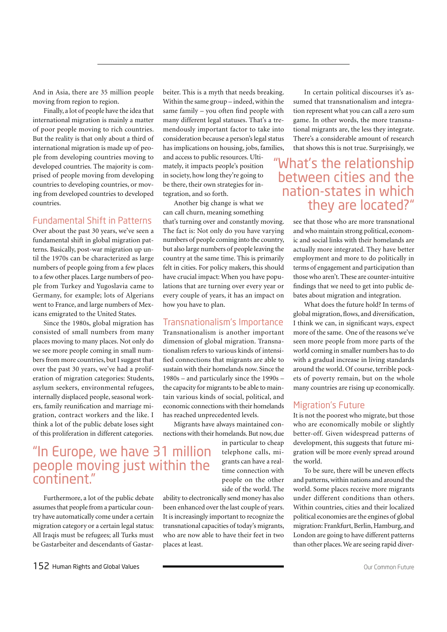And in Asia, there are 35 million people moving from region to region.

Finally, a lot of people have the idea that international migration is mainly a matter of poor people moving to rich countries. But the reality is that only about a third of international migration is made up of people from developing countries moving to developed countries. The majority is comprised of people moving from developing countries to developing countries, or moving from developed countries to developed countries.

#### Fundamental Shift in Patterns

Over about the past 30 years, we've seen a fundamental shift in global migration patterns. Basically, post-war migration up until the 1970s can be characterized as large numbers of people going from a few places to a few other places. Large numbers of people from Turkey and Yugoslavia came to Germany, for example; lots of Algerians went to France, and large numbers of Mexicans emigrated to the United States.

Since the 1980s, global migration has consisted of small numbers from many places moving to many places. Not only do we see more people coming in small numbers from more countries, but I suggest that over the past 30 years, we've had a proliferation of migration categories: Students, asylum seekers, environmental refugees, internally displaced people, seasonal workers, family reunification and marriage migration, contract workers and the like. I think a lot of the public debate loses sight of this proliferation in different categories.

## "In Europe, we have 31 million people moving just within the continent."

Furthermore, a lot of the public debate assumes that people from a particular country have automatically come under a certain migration category or a certain legal status: All Iraqis must be refugees; all Turks must be Gastarbeiter and descendants of Gastarbeiter. This is a myth that needs breaking. Within the same group – indeed, within the same family – you often find people with many different legal statuses. That's a tremendously important factor to take into consideration because a person's legal status has implications on housing, jobs, families, and access to public resources. Ultimately, it impacts people's position in society, how long they're going to be there, their own strategies for integration, and so forth.

Another big change is what we can call churn, meaning something that's turning over and constantly moving. The fact is: Not only do you have varying numbers of people coming into the country, but also large numbers of people leaving the country at the same time. This is primarily felt in cities. For policy makers, this should have crucial impact: When you have populations that are turning over every year or every couple of years, it has an impact on how you have to plan.

#### Transnationalism's Importance

Transnationalism is another important dimension of global migration. Transnationalism refers to various kinds of intensified connections that migrants are able to sustain with their homelands now. Since the 1980s – and particularly since the 1990s – the capacity for migrants to be able to maintain various kinds of social, political, and economic connections with their homelands has reached unprecedented levels.

Migrants have always maintained connections with their homelands. But now, due

> in particular to cheap telephone calls, migrants can have a realtime connection with people on the other side of the world. The

ability to electronically send money has also been enhanced over the last couple of years. It is increasingly important to recognize the transnational capacities of today's migrants, who are now able to have their feet in two places at least.

In certain political discourses it's assumed that transnationalism and integration represent what you can call a zero sum game. In other words, the more transnational migrants are, the less they integrate. There's a considerable amount of research that shows this is not true. Surprisingly, we

## "What's the relationship between cities and the nation-states in which they are located?"

see that those who are more transnational and who maintain strong political, economic and social links with their homelands are actually more integrated. They have better employment and more to do politically in terms of engagement and participation than those who aren't. These are counter-intuitive findings that we need to get into public debates about migration and integration.

What does the future hold? In terms of global migration, flows, and diversification, I think we can, in significant ways, expect more of the same. One of the reasons we've seen more people from more parts of the world coming in smaller numbers has to do with a gradual increase in living standards around the world. Of course, terrible pockets of poverty remain, but on the whole many countries are rising up economically.

#### Migration's Future

It is not the poorest who migrate, but those who are economically mobile or slightly better-off. Given widespread patterns of development, this suggests that future migration will be more evenly spread around the world.

To be sure, there will be uneven effects and patterns, within nations and around the world. Some places receive more migrants under different conditions than others. Within countries, cities and their localized political economies are the engines of global migration: Frankfurt, Berlin, Hamburg, and London are going to have different patterns than other places. We are seeing rapid diver-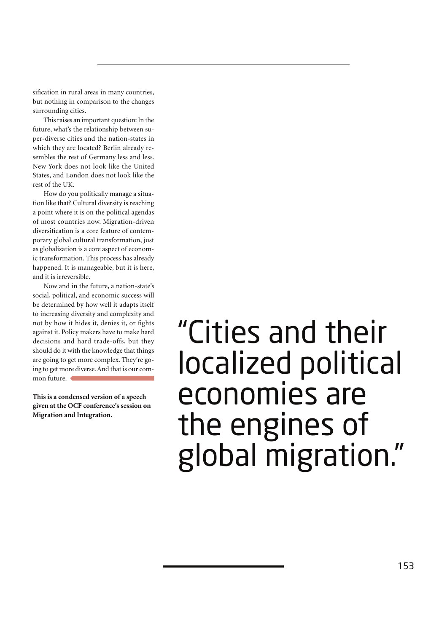sification in rural areas in many countries, but nothing in comparison to the changes surrounding cities.

This raises an important question: In the future, what's the relationship between super-diverse cities and the nation-states in which they are located? Berlin already resembles the rest of Germany less and less. New York does not look like the United States, and London does not look like the rest of the UK.

How do you politically manage a situation like that? Cultural diversity is reaching a point where it is on the political agendas of most countries now. Migration-driven diversification is a core feature of contemporary global cultural transformation, just as globalization is a core aspect of economic transformation. This process has already happened. It is manageable, but it is here, and it is irreversible.

Now and in the future, a nation-state's social, political, and economic success will be determined by how well it adapts itself to increasing diversity and complexity and not by how it hides it, denies it, or fights against it. Policy makers have to make hard decisions and hard trade-offs, but they should do it with the knowledge that things are going to get more complex. They're going to get more diverse. And that is our common future.

**This is a condensed version of a speech given at the OCF conference's session on Migration and Integration.**

# "Cities and their localized political economies are the engines of global migration."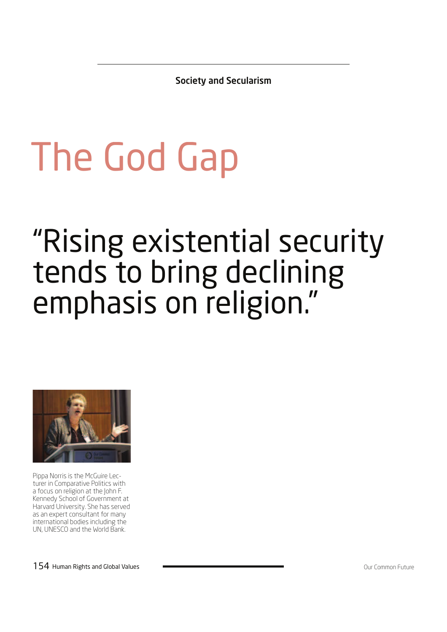Society and Secularism

# The God Gap

# "Rising existential security tends to bring declining emphasis on religion."



Pippa Norris is the McGuire Lecturer in Comparative Politics with a focus on religion at the John F. Kennedy School of Government at Harvard University. She has served as an expert consultant for many international bodies including the UN, UNESCO and the World Bank.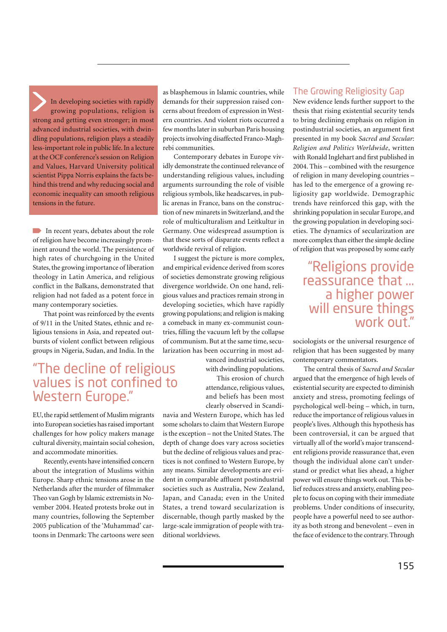In developing societies with rapidly growing populations, religion is strong and getting even stronger; in most advanced industrial societies, with dwindling populations, religion plays a steadily less-important role in public life. In a lecture at the OCF conference's session on Religion and Values, Harvard University political scientist Pippa Norris explains the facts behind this trend and why reducing social and economic inequality can smooth religious tensions in the future.

In recent years, debates about the role of religion have become increasingly prominent around the world. The persistence of high rates of churchgoing in the United States, the growing importance of liberation theology in Latin America, and religious conflict in the Balkans, demonstrated that religion had not faded as a potent force in many contemporary societies.

That point was reinforced by the events of 9/11 in the United States, ethnic and religious tensions in Asia, and repeated outbursts of violent conflict between religious groups in Nigeria, Sudan, and India. In the

## "The decline of religious values is not confined to Western Europe."

EU, the rapid settlement of Muslim migrants into European societies has raised important challenges for how policy makers manage cultural diversity, maintain social cohesion, and accommodate minorities.

Recently, events have intensified concern about the integration of Muslims within Europe. Sharp ethnic tensions arose in the Netherlands after the murder of filmmaker Theo van Gogh by Islamic extremists in November 2004. Heated protests broke out in many countries, following the September 2005 publication of the 'Muhammad' cartoons in Denmark: The cartoons were seen as blasphemous in Islamic countries, while demands for their suppression raised concerns about freedom of expression in Western countries. And violent riots occurred a few months later in suburban Paris housing projects involving disaffected Franco-Maghrebi communities.

Contemporary debates in Europe vividly demonstrate the continued relevance of understanding religious values, including arguments surrounding the role of visible religious symbols, like headscarves, in public arenas in France, bans on the construction of new minarets in Switzerland, and the role of multiculturalism and Leitkultur in Germany. One widespread assumption is that these sorts of disparate events reflect a worldwide revival of religion.

I suggest the picture is more complex, and empirical evidence derived from scores of societies demonstrate growing religious divergence worldwide. On one hand, religious values and practices remain strong in developing societies, which have rapidly growing populations; and religion is making a comeback in many ex-communist countries, filling the vacuum left by the collapse of communism. But at the same time, secularization has been occurring in most ad-

> vanced industrial societies, with dwindling populations.

This erosion of church attendance, religious values, and beliefs has been most clearly observed in Scandi-

navia and Western Europe, which has led some scholars to claim that Western Europe is the exception – not the United States. The depth of change does vary across societies but the decline of religious values and practices is not confined to Western Europe, by any means. Similar developments are evident in comparable affluent postindustrial societies such as Australia, New Zealand, Japan, and Canada; even in the United States, a trend toward secularization is discernable, though partly masked by the large-scale immigration of people with traditional worldviews.

#### The Growing Religiosity Gap

New evidence lends further support to the thesis that rising existential security tends to bring declining emphasis on religion in postindustrial societies, an argument first presented in my book *Sacred and Secular*: *Religion and Politics Worldwide*, written with Ronald Inglehart and first published in 2004. This – combined with the resurgence of religion in many developing countries – has led to the emergence of a growing religiosity gap worldwide. Demographic trends have reinforced this gap, with the shrinking population in secular Europe, and the growing population in developing societies. The dynamics of secularization are more complex than either the simple decline of religion that was proposed by some early

## "Religions provide reassurance that ... a higher power will ensure things work out."

sociologists or the universal resurgence of religion that has been suggested by many contemporary commentators.

The central thesis of *Sacred and Secular*  argued that the emergence of high levels of existential security are expected to diminish anxiety and stress, promoting feelings of psychological well-being – which, in turn, reduce the importance of religious values in people's lives. Although this hypothesis has been controversial, it can be argued that virtually all of the world's major transcendent religions provide reassurance that, even though the individual alone can't understand or predict what lies ahead, a higher power will ensure things work out. This belief reduces stress and anxiety, enabling people to focus on coping with their immediate problems. Under conditions of insecurity, people have a powerful need to see authority as both strong and benevolent – even in the face of evidence to the contrary. Through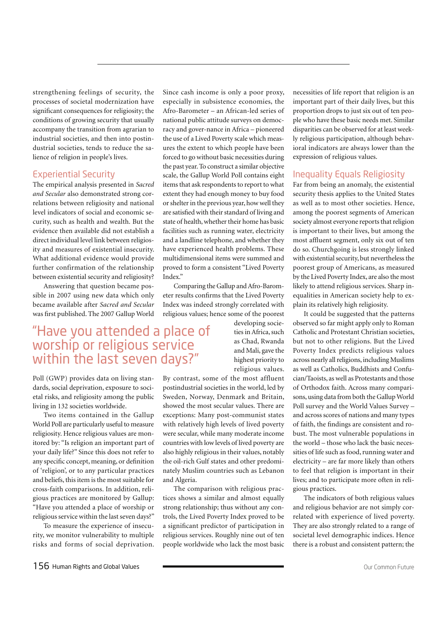strengthening feelings of security, the processes of societal modernization have significant consequences for religiosity; the conditions of growing security that usually accompany the transition from agrarian to industrial societies, and then into postindustrial societies, tends to reduce the salience of religion in people's lives.

#### Experiential Security

The empirical analysis presented in *Sacred and Secular* also demonstrated strong correlations between religiosity and national level indicators of social and economic security, such as health and wealth. But the evidence then available did not establish a direct individual level link between religiosity and measures of existential insecurity. What additional evidence would provide further confirmation of the relationship between existential security and religiosity?

Answering that question became possible in 2007 using new data which only became available after *Sacred and Secular*  was first published. The 2007 Gallup World

## "Have you attended a place of worship or religious service within the last seven days?"

Poll (GWP) provides data on living standards, social deprivation, exposure to societal risks, and religiosity among the public living in 132 societies worldwide.

Two items contained in the Gallup World Poll are particularly useful to measure religiosity. Hence religious values are monitored by: "Is religion an important part of your daily life?" Since this does not refer to any specific concept, meaning, or definition of 'religion', or to any particular practices and beliefs, this item is the most suitable for cross-faith comparisons. In addition, religious practices are monitored by Gallup: "Have you attended a place of worship or religious service within the last seven days?"

To measure the experience of insecurity, we monitor vulnerability to multiple risks and forms of social deprivation. Since cash income is only a poor proxy, especially in subsistence economies, the Afro-Barometer – an African-led series of national public attitude surveys on democracy and gover-nance in Africa – pioneered the use of a Lived Poverty scale which measures the extent to which people have been forced to go without basic necessities during the past year. To construct a similar objective scale, the Gallup World Poll contains eight items that ask respondents to report to what extent they had enough money to buy food or shelter in the previous year, how well they are satisfied with their standard of living and state of health, whether their home has basic facilities such as running water, electricity and a landline telephone, and whether they have experienced health problems. These multidimensional items were summed and proved to form a consistent "Lived Poverty Index"

Comparing the Gallup and Afro-Barometer results confirms that the Lived Poverty Index was indeed strongly correlated with religious values; hence some of the poorest

developing societies in Africa, such as Chad, Rwanda and Mali, gave the highest priority to religious values.

By contrast, some of the most affluent postindustrial societies in the world, led by Sweden, Norway, Denmark and Britain, showed the most secular values. There are exceptions: Many post-communist states with relatively high levels of lived poverty were secular, while many moderate income countries with low levels of lived poverty are also highly religious in their values, notably the oil-rich Gulf states and other predominately Muslim countries such as Lebanon and Algeria.

The comparison with religious practices shows a similar and almost equally strong relationship; thus without any controls, the Lived Poverty Index proved to be a significant predictor of participation in religious services. Roughly nine out of ten people worldwide who lack the most basic necessities of life report that religion is an important part of their daily lives, but this proportion drops to just six out of ten people who have these basic needs met. Similar disparities can be observed for at least weekly religious participation, although behavioral indicators are always lower than the expression of religious values.

#### Inequality Equals Religiosity

Far from being an anomaly, the existential security thesis applies to the United States as well as to most other societies. Hence, among the poorest segments of American society almost everyone reports that religion is important to their lives, but among the most affluent segment, only six out of ten do so. Churchgoing is less strongly linked with existential security, but nevertheless the poorest group of Americans, as measured by the Lived Poverty Index, are also the most likely to attend religious services. Sharp inequalities in American society help to explain its relatively high religiosity.

It could be suggested that the patterns observed so far might apply only to Roman Catholic and Protestant Christian societies, but not to other religions. But the Lived Poverty Index predicts religious values across nearly all religions, including Muslims as well as Catholics, Buddhists and Confucian/Taoists, as well as Protestants and those of Orthodox faith. Across many comparisons, using data from both the Gallup World Poll survey and the World Values Survey – and across scores of nations and many types of faith, the findings are consistent and robust. The most vulnerable populations in the world – those who lack the basic necessities of life such as food, running water and electricity – are far more likely than others to feel that religion is important in their lives; and to participate more often in religious practices.

The indicators of both religious values and religious behavior are not simply correlated with experience of lived poverty. They are also strongly related to a range of societal level demographic indices. Hence there is a robust and consistent pattern; the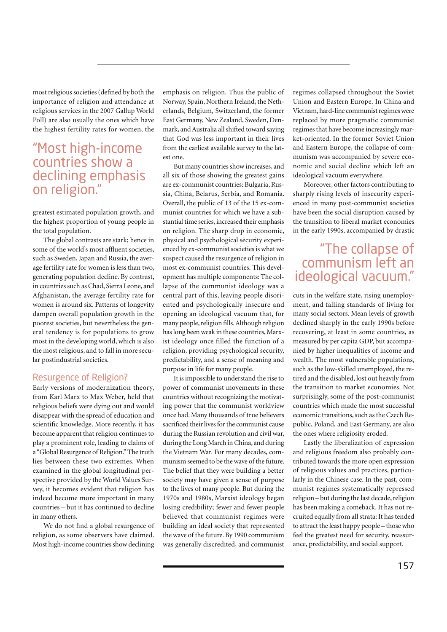most religious societies (defined by both the importance of religion and attendance at religious services in the 2007 Gallup World Poll) are also usually the ones which have the highest fertility rates for women, the

## "Most high-income countries show a declining emphasis on religion."

greatest estimated population growth, and the highest proportion of young people in the total population.

The global contrasts are stark; hence in some of the world's most affluent societies, such as Sweden, Japan and Russia, the average fertility rate for women is less than two, generating population decline. By contrast, in countries such as Chad, Sierra Leone, and Afghanistan, the average fertility rate for women is around six. Patterns of longevity dampen overall population growth in the poorest societies, but nevertheless the general tendency is for populations to grow most in the developing world, which is also the most religious, and to fall in more secular postindustrial societies.

#### Resurgence of Religion?

Early versions of modernization theory, from Karl Marx to Max Weber, held that religious beliefs were dying out and would disappear with the spread of education and scientific knowledge. More recently, it has become apparent that religion continues to play a prominent role, leading to claims of a "Global Resurgence of Religion." The truth lies between these two extremes. When examined in the global longitudinal perspective provided by the World Values Survey, it becomes evident that religion has indeed become more important in many countries – but it has continued to decline in many others.

We do not find a global resurgence of religion, as some observers have claimed. Most high-income countries show declining emphasis on religion. Thus the public of Norway, Spain, Northern Ireland, the Netherlands, Belgium, Switzerland, the former East Germany, New Zealand, Sweden, Denmark, and Australia all shifted toward saying that God was less important in their lives from the earliest available survey to the latest one.

But many countries show increases, and all six of those showing the greatest gains are ex-communist countries: Bulgaria, Russia, China, Belarus, Serbia, and Romania. Overall, the public of 13 of the 15 ex-communist countries for which we have a substantial time series, increased their emphasis on religion. The sharp drop in economic, physical and psychological security experienced by ex-communist societies is what we suspect caused the resurgence of religion in most ex-communist countries. This development has multiple components: The collapse of the communist ideology was a central part of this, leaving people disoriented and psychologically insecure and opening an ideological vacuum that, for many people, religion fills. Although religion has long been weak in these countries, Marxist ideology once filled the function of a religion, providing psychological security, predictability, and a sense of meaning and purpose in life for many people.

It is impossible to understand the rise to power of communist movements in these countries without recognizing the motivating power that the communist worldview once had. Many thousands of true believers sacrificed their lives for the communist cause during the Russian revolution and civil war, during the Long March in China, and during the Vietnam War. For many decades, communism seemed to be the wave of the future. The belief that they were building a better society may have given a sense of purpose to the lives of many people. But during the 1970s and 1980s, Marxist ideology began losing credibility; fewer and fewer people believed that communist regimes were building an ideal society that represented the wave of the future. By 1990 communism was generally discredited, and communist regimes collapsed throughout the Soviet Union and Eastern Europe. In China and Vietnam, hard-line communist regimes were replaced by more pragmatic communist regimes that have become increasingly market-oriented. In the former Soviet Union and Eastern Europe, the collapse of communism was accompanied by severe economic and social decline which left an ideological vacuum everywhere.

Moreover, other factors contributing to sharply rising levels of insecurity experienced in many post-communist societies have been the social disruption caused by the transition to liberal market economies in the early 1990s, accompanied by drastic

## "The collapse of communism left an ideological vacuum."

cuts in the welfare state, rising unemployment, and falling standards of living for many social sectors. Mean levels of growth declined sharply in the early 1990s before recovering, at least in some countries, as measured by per capita GDP, but accompanied by higher inequalities of income and wealth. The most vulnerable populations, such as the low-skilled unemployed, the retired and the disabled, lost out heavily from the transition to market economies. Not surprisingly, some of the post-communist countries which made the most successful economic transitions, such as the Czech Republic, Poland, and East Germany, are also the ones where religiosity eroded.

Lastly the liberalization of expression and religious freedom also probably contributed towards the more open expression of religious values and practices, particularly in the Chinese case. In the past, communist regimes systematically repressed religion – but during the last decade, religion has been making a comeback. It has not recruited equally from all strata: It has tended to attract the least happy people – those who feel the greatest need for security, reassurance, predictability, and social support.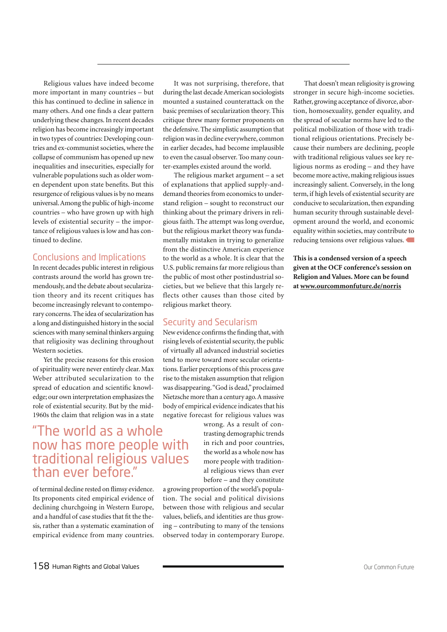Religious values have indeed become more important in many countries – but this has continued to decline in salience in many others. And one finds a clear pattern underlying these changes. In recent decades religion has become increasingly important in two types of countries: Developing countries and ex-communist societies, where the collapse of communism has opened up new inequalities and insecurities, especially for vulnerable populations such as older women dependent upon state benefits. But this resurgence of religious values is by no means universal. Among the public of high-income countries – who have grown up with high levels of existential security – the importance of religious values is low and has continued to decline.

#### Conclusions and Implications

In recent decades public interest in religious contrasts around the world has grown tremendously, and the debate about secularization theory and its recent critiques has become increasingly relevant to contemporary concerns. The idea of secularization has a long and distinguished history in the social sciences with many seminal thinkers arguing that religiosity was declining throughout Western societies.

Yet the precise reasons for this erosion of spirituality were never entirely clear. Max Weber attributed secularization to the spread of education and scientific knowledge; our own interpretation emphasizes the role of existential security. But by the mid-1960s the claim that religion was in a state

## "The world as a whole now has more people with traditional religious values than ever before."

of terminal decline rested on flimsy evidence. Its proponents cited empirical evidence of declining churchgoing in Western Europe, and a handful of case studies that fit the thesis, rather than a systematic examination of empirical evidence from many countries.

It was not surprising, therefore, that during the last decade American sociologists mounted a sustained counterattack on the basic premises of secularization theory. This critique threw many former proponents on the defensive. The simplistic assumption that religion was in decline everywhere, common in earlier decades, had become implausible to even the casual observer. Too many counter-examples existed around the world.

The religious market argument – a set of explanations that applied supply-anddemand theories from economics to understand religion – sought to reconstruct our thinking about the primary drivers in religious faith. The attempt was long overdue, but the religious market theory was fundamentally mistaken in trying to generalize from the distinctive American experience to the world as a whole. It is clear that the U.S. public remains far more religious than the public of most other postindustrial societies, but we believe that this largely reflects other causes than those cited by religious market theory.

#### Security and Secularism

New evidence confirms the finding that, with rising levels of existential security, the public of virtually all advanced industrial societies tend to move toward more secular orientations. Earlier perceptions of this process gave rise to the mistaken assumption that religion was disappearing. "God is dead," proclaimed Nietzsche more than a century ago. A massive body of empirical evidence indicates that his negative forecast for religious values was

wrong. As a result of contrasting demographic trends in rich and poor countries, the world as a whole now has more people with traditional religious views than ever before – and they constitute

a growing proportion of the world's population. The social and political divisions between those with religious and secular values, beliefs, and identities are thus growing – contributing to many of the tensions observed today in contemporary Europe.

That doesn't mean religiosity is growing stronger in secure high-income societies. Rather, growing acceptance of divorce, abortion, homosexuality, gender equality, and the spread of secular norms have led to the political mobilization of those with traditional religious orientations. Precisely because their numbers are declining, people with traditional religious values see key religious norms as eroding – and they have become more active, making religious issues increasingly salient. Conversely, in the long term, if high levels of existential security are conducive to secularization, then expanding human security through sustainable development around the world, and economic equality within societies, may contribute to reducing tensions over religious values.

**This is a condensed version of a speech given at the OCF conference's session on Religion and Values. More can be found at www.ourcommonfuture.de/norris**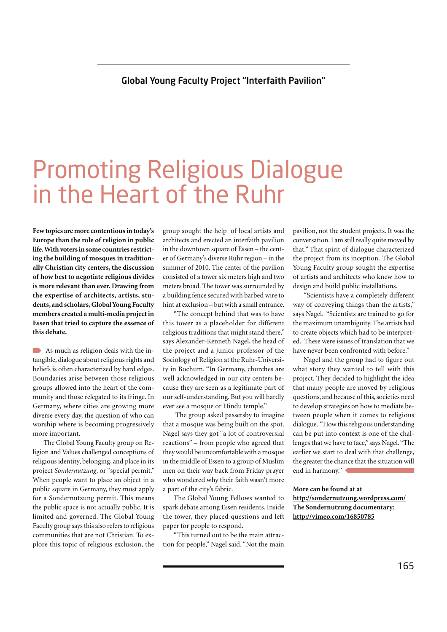## Global Young Faculty Project "Interfaith Pavilion"

## Promoting Religious Dialogue in the Heart of the Ruhr

**Few topics are more contentious in today's Europe than the role of religion in public life. With voters in some countries restricting the building of mosques in traditionally Christian city centers, the discussion of how best to negotiate religious divides is more relevant than ever. Drawing from the expertise of architects, artists, students, and scholars, Global Young Faculty members created a multi-media project in Essen that tried to capture the essence of this debate.** 

As much as religion deals with the intangible, dialogue about religious rights and beliefs is often characterized by hard edges. Boundaries arise between those religious groups allowed into the heart of the community and those relegated to its fringe. In Germany, where cities are growing more diverse every day, the question of who can worship where is becoming progressively more important.

The Global Young Faculty group on Religion and Values challenged conceptions of religious identity, belonging, and place in its project *Sondernutzung*, or "special permit." When people want to place an object in a public square in Germany, they must apply for a Sondernutzung permit. This means the public space is not actually public. It is limited and governed. The Global Young Faculty group says this also refers to religious communities that are not Christian. To explore this topic of religious exclusion, the group sought the help of local artists and architects and erected an interfaith pavilion in the downtown square of Essen – the center of Germany's diverse Ruhr region – in the summer of 2010. The center of the pavilion consisted of a tower six meters high and two meters broad. The tower was surrounded by a building fence secured with barbed wire to hint at exclusion – but with a small entrance.

"The concept behind that was to have this tower as a placeholder for different religious traditions that might stand there," says Alexander-Kenneth Nagel, the head of the project and a junior professor of the Sociology of Religion at the Ruhr-University in Bochum. "In Germany, churches are well acknowledged in our city centers because they are seen as a legitimate part of our self-understanding. But you will hardly ever see a mosque or Hindu temple."

 The group asked passersby to imagine that a mosque was being built on the spot. Nagel says they got "a lot of controversial reactions" – from people who agreed that they would be uncomfortable with a mosque in the middle of Essen to a group of Muslim men on their way back from Friday prayer who wondered why their faith wasn't more a part of the city's fabric.

The Global Young Fellows wanted to spark debate among Essen residents. Inside the tower, they placed questions and left paper for people to respond.

"This turned out to be the main attraction for people," Nagel said. "Not the main pavilion, not the student projects. It was the conversation. I am still really quite moved by that." That spirit of dialogue characterized the project from its inception. The Global Young Faculty group sought the expertise of artists and architects who knew how to design and build public installations.

"Scientists have a completely different way of conveying things than the artists," says Nagel. "Scientists are trained to go for the maximum unambiguity. The artists had to create objects which had to be interpreted. These were issues of translation that we have never been confronted with before."

Nagel and the group had to figure out what story they wanted to tell with this project. They decided to highlight the idea that many people are moved by religious questions, and because of this, societies need to develop strategies on how to mediate between people when it comes to religious dialogue. "How this religious understanding can be put into context is one of the challenges that we have to face," says Nagel. "The earlier we start to deal with that challenge, the greater the chance that the situation will end in harmony."

**More can be found at at http://sondernutzung.wordpress.com/ The Sondernutzung documentary: http://vimeo.com/16850785**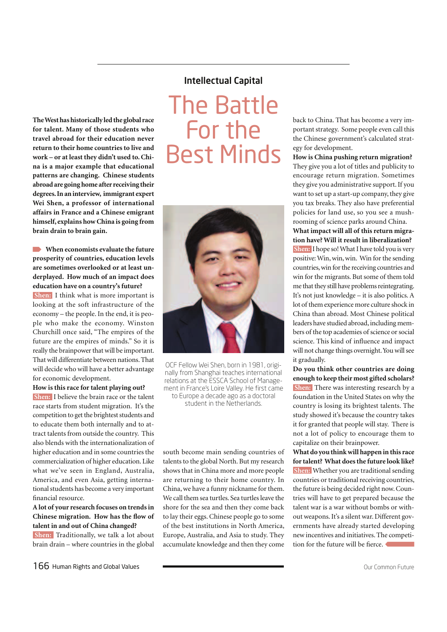**The West has historically led the global race for talent. Many of those students who travel abroad for their education never return to their home countries to live and work – or at least they didn't used to. China is a major example that educational patterns are changing. Chinese students abroad are going home after receiving their degrees. In an interview, immigrant expert Wei Shen, a professor of international affairs in France and a Chinese emigrant himself, explains how China is going from brain drain to brain gain.**

**When economists evaluate the future prosperity of countries, education levels are sometimes overlooked or at least underplayed. How much of an impact does education have on a country's future?**

 **Shen:** I think what is more important is looking at the soft infrastructure of the economy – the people. In the end, it is people who make the economy. Winston Churchill once said, "The empires of the future are the empires of minds." So it is really the brainpower that will be important. That will differentiate between nations. That will decide who will have a better advantage for economic development.

**How is this race for talent playing out? Shen:** I believe the brain race or the talent race starts from student migration. It's the competition to get the brightest students and to educate them both internally and to attract talents from outside the country. This also blends with the internationalization of higher education and in some countries the commercialization of higher education. Like what we've seen in England, Australia, America, and even Asia, getting international students has become a very important financial resource.

**A lot of your research focuses on trends in Chinese migration. How has the flow of talent in and out of China changed?**

 **Shen:** Traditionally, we talk a lot about brain drain – where countries in the global

#### Intellectual Capital

The Battle For the Best Minds



OCF Fellow Wei Shen, born in 1981, originally from Shanghai teaches international relations at the ESSCA School of Management in France's Loire Valley. He first came to Europe a decade ago as a doctoral student in the Netherlands.

south become main sending countries of talents to the global North. But my research shows that in China more and more people are returning to their home country. In China, we have a funny nickname for them. We call them sea turtles. Sea turtles leave the shore for the sea and then they come back to lay their eggs. Chinese people go to some of the best institutions in North America, Europe, Australia, and Asia to study. They accumulate knowledge and then they come back to China. That has become a very important strategy. Some people even call this the Chinese government's calculated strategy for development.

**How is China pushing return migration?** They give you a lot of titles and publicity to encourage return migration. Sometimes they give you administrative support. If you want to set up a start-up company, they give you tax breaks. They also have preferential policies for land use, so you see a mushrooming of science parks around China.

**What impact will all of this return migration have? Will it result in liberalization? Shen:** I hope so! What I have told you is very positive: Win, win, win. Win for the sending countries, win for the receiving countries and win for the migrants. But some of them told me that they still have problems reintegrating. It's not just knowledge – it is also politics. A lot of them experience more culture shock in China than abroad. Most Chinese political leaders have studied abroad, including members of the top academies of science or social science. This kind of influence and impact will not change things overnight. You will see it gradually.

**Do you think other countries are doing enough to keep their most gifted scholars? Shen:** There was interesting research by a foundation in the United States on why the country is losing its brightest talents. The study showed it's because the country takes it for granted that people will stay. There is not a lot of policy to encourage them to capitalize on their brainpower.

**What do you think will happen in this race for talent? What does the future look like? Shen:** Whether you are traditional sending countries or traditional receiving countries, the future is being decided right now. Countries will have to get prepared because the talent war is a war without bombs or without weapons. It's a silent war. Different governments have already started developing new incentives and initiatives. The competition for the future will be fierce.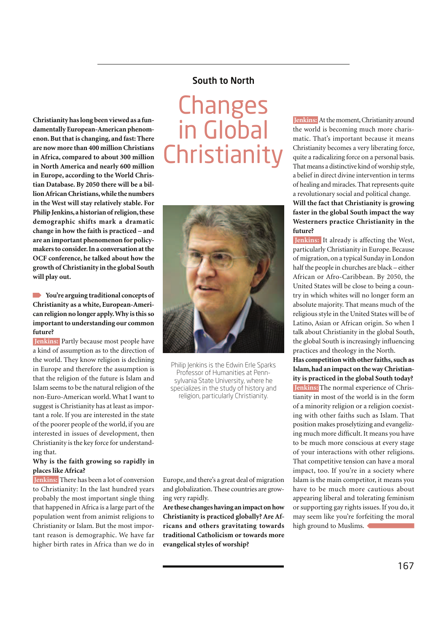## South to North

**Christianity has long been viewed as a fundamentally European-American phenomenon. But that is changing, and fast: There are now more than 400 million Christians in Africa, compared to about 300 million in North America and nearly 600 million in Europe, according to the World Christian Database. By 2050 there will be a billion African Christians, while the numbers in the West will stay relatively stable. For Philip Jenkins, a historian of religion, these demographic shifts mark a dramatic change in how the faith is practiced – and are an important phenomenon for policymakers to consider. In a conversation at the OCF conference, he talked about how the growth of Christianity in the global South will play out.**

**You're arguing traditional concepts of Christianity as a white, European-American religion no longer apply. Why is this so important to understanding our common future?**

*<u>Ienkins:</u>* Partly because most people have a kind of assumption as to the direction of the world. They know religion is declining in Europe and therefore the assumption is that the religion of the future is Islam and Islam seems to be the natural religion of the non-Euro-American world. What I want to suggest is Christianity has at least as important a role. If you are interested in the state of the poorer people of the world, if you are interested in issues of development, then Christianity is the key force for understanding that.

#### **Why is the faith growing so rapidly in places like Africa?**

 **Jenkins:** There has been a lot of conversion to Christianity: In the last hundred years probably the most important single thing that happened in Africa is a large part of the population went from animist religions to Christianity or Islam. But the most important reason is demographic. We have far higher birth rates in Africa than we do in

## **Changes** in Global **Christianity**



Philip Jenkins is the Edwin Erle Sparks Professor of Humanities at Pennsylvania State University, where he specializes in the study of history and religion, particularly Christianity.

Europe, and there's a great deal of migration and globalization. These countries are growing very rapidly.

**Are these changes having an impact on how Christianity is practiced globally? Are Africans and others gravitating towards traditional Catholicism or towards more evangelical styles of worship?**

 **Jenkins:** At the moment, Christianity around the world is becoming much more charismatic. That's important because it means Christianity becomes a very liberating force, quite a radicalizing force on a personal basis. That means a distinctive kind of worship style, a belief in direct divine intervention in terms of healing and miracles. That represents quite a revolutionary social and political change. **Will the fact that Christianity is growing faster in the global South impact the way Westerners practice Christianity in the future?** 

 **Jenkins:** It already is affecting the West, particularly Christianity in Europe. Because of migration, on a typical Sunday in London half the people in churches are black – either African or Afro-Caribbean. By 2050, the United States will be close to being a country in which whites will no longer form an absolute majority. That means much of the religious style in the United States will be of Latino, Asian or African origin. So when I talk about Christianity in the global South, the global South is increasingly influencing practices and theology in the North.

**Has competition with other faiths, such as Islam, had an impact on the way Christianity is practiced in the global South today? Jenkins:** The normal experience of Christianity in most of the world is in the form of a minority religion or a religion coexisting with other faiths such as Islam. That position makes proselytizing and evangelizing much more difficult. It means you have to be much more conscious at every stage of your interactions with other religions. That competitive tension can have a moral impact, too. If you're in a society where Islam is the main competitor, it means you have to be much more cautious about appearing liberal and tolerating feminism or supporting gay rights issues. If you do, it may seem like you're forfeiting the moral high ground to Muslims.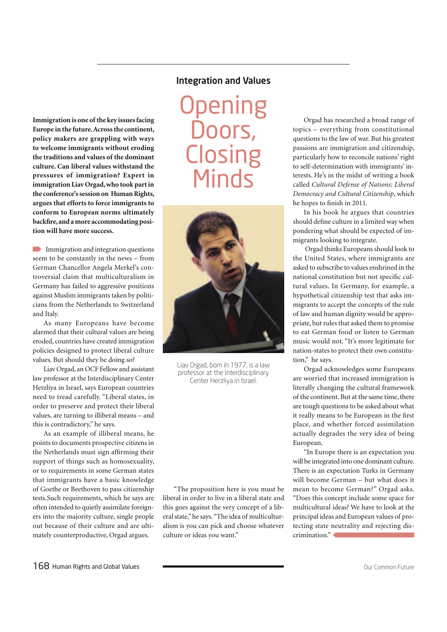**Immigration is one of the key issues facing Europe in the future. Across the continent, policy makers are grappling with ways to welcome immigrants without eroding the traditions and values of the dominant culture. Can liberal values withstand the pressures of immigration? Expert in immigration Liav Orgad, who took part in the conference's session on Human Rights, argues that efforts to force immigrants to conform to European norms ultimately backfire, and a more accommodating position will have more success.**

Immigration and integration questions seem to be constantly in the news – from German Chancellor Angela Merkel's controversial claim that multiculturalism in Germany has failed to aggressive positions against Muslim immigrants taken by politicians from the Netherlands to Switzerland and Italy.

As many Europeans have become alarmed that their cultural values are being eroded, countries have created immigration policies designed to protect liberal culture values. But should they be doing so?

Liav Orgad, an OCF Fellow and assistant law professor at the Interdisciplinary Center Herzliya in Israel, says European countries need to tread carefully. "Liberal states, in order to preserve and protect their liberal values, are turning to illiberal means – and this is contradictory," he says.

As an example of illiberal means, he points to documents prospective citizens in the Netherlands must sign affirming their support of things such as homosexuality, or to requirements in some German states that immigrants have a basic knowledge of Goethe or Beethoven to pass citizenship tests.Such requirements, which he says are often intended to quietly assimilate foreigners into the majority culture, single people out because of their culture and are ultimately counterproductive, Orgad argues.

### Integration and Values

**Opening** Doors, **Closing Minds** 



Liav Orgad, born in 1977, is a law professor at the Interdisciplinary Center Herzliya in Israel.

"The proposition here is you must be liberal in order to live in a liberal state and this goes against the very concept of a liberal state," he says. "The idea of multiculturalism is you can pick and choose whatever culture or ideas you want."

Orgad has researched a broad range of topics – everything from constitutional questions to the law of war. But his greatest passions are immigration and citizenship, particularly how to reconcile nations' right to self-determination with immigrants' interests. He's in the midst of writing a book called *Cultural Defense of Nations: Liberal Democracy and Cultural Citizenship*, which he hopes to finish in 2011.

In his book he argues that countries should define culture in a limited way when pondering what should be expected of immigrants looking to integrate.

 Orgad thinks Europeans should look to the United States, where immigrants are asked to subscribe to values enshrined in the national constitution but not specific cultural values. In Germany, for example, a hypothetical citizenship test that asks immigrants to accept the concepts of the rule of law and human dignity would be appropriate, but rules that asked them to promise to eat German food or listen to German music would not. "It's more legitimate for nation-states to protect their own constitution," he says.

Orgad acknowledges some Europeans are worried that increased immigration is literally changing the cultural framework of the continent. But at the same time, there are tough questions to be asked about what it really means to be European in the first place, and whether forced assimilation actually degrades the very idea of being European.

"In Europe there is an expectation you will be integrated into one dominant culture. There is an expectation Turks in Germany will become German – but what does it mean to become German?" Orgad asks. "Does this concept include some space for multicultural ideas? We have to look at the principal ideas and European values of protecting state neutrality and rejecting discrimination."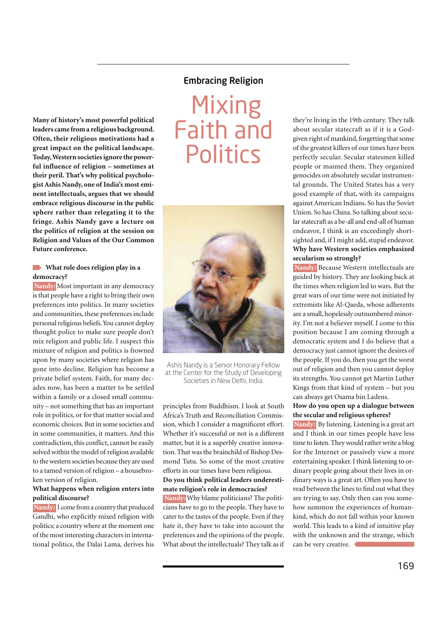## Embracing Religion

**Many of history's most powerful political leaders came from a religious background. Often, their religious motivations had a great impact on the political landscape. Today, Western societies ignore the powerful influence of religion – sometimes at their peril. That's why political psychologist Ashis Nandy, one of India's most eminent intellectuals, argues that we should embrace religious discourse in the public sphere rather than relegating it to the fringe. Ashis Nandy gave a lecture on the politics of religion at the session on Religion and Values of the Our Common Future conference.**

#### **What role does religion play in a democracy?**

**Nandy:** Most important in any democracy is that people have a right to bring their own preferences into politics. In many societies and communities, these preferences include personal religious beliefs. You cannot deploy thought police to make sure people don't mix religion and public life. I suspect this mixture of religion and politics is frowned upon by many societies where religion has gone into decline. Religion has become a private belief system. Faith, for many decades now, has been a matter to be settled within a family or a closed small community – not something that has an important role in politics, or for that matter social and economic choices. But in some societies and in some communities, it matters. And this contradiction, this conflict, cannot be easily solved within the model of religion available to the western societies because they are used to a tamed version of religion – a housebroken version of religion.

#### **What happens when religion enters into political discourse?**

 **Nandy:** I come from a country that produced Gandhi, who explicitly mixed religion with politics; a country where at the moment one of the most interesting characters in international politics, the Dalai Lama, derives his





Ashis Nandy is a Senior Honorary Fellow at the Center for the Study of Developing Societies in New Delhi, India.

principles from Buddhism. I look at South Africa's Truth and Reconciliation Commission, which I consider a magnificent effort. Whether it's successful or not is a different matter, but it is a superbly creative innovation. That was the brainchild of Bishop Desmond Tutu. So some of the most creative efforts in our times have been religious.

#### **Do you think political leaders underestimate religion's role in democracies?**

 **Nandy:** Why blame politicians? The politicians have to go to the people. They have to cater to the tastes of the people. Even if they hate it, they have to take into account the preferences and the opinions of the people. What about the intellectuals? They talk as if they're living in the 19th century. They talk about secular statecraft as if it is a Godgiven right of mankind, forgetting that some of the greatest killers of our times have been perfectly secular. Secular statesmen killed people or maimed them. They organized genocides on absolutely secular instrumental grounds. The United States has a very good example of that, with its campaigns against American Indians. So has the Soviet Union. So has China. So talking about secular statecraft as a be-all and end-all of human endeavor, I think is an exceedingly shortsighted and, if I might add, stupid endeavor. **Why have Western societies emphasized secularism so strongly?**

 **Nandy:** Because Western intellectuals are guided by history. They are looking back at the times when religion led to wars. But the great wars of our time were not initiated by extremists like Al-Qaeda, whose adherents are a small, hopelessly outnumbered minority. I'm not a believer myself. I come to this position because I am coming through a democratic system and I do believe that a democracy just cannot ignore the desires of the people. If you do, then you get the worst out of religion and then you cannot deploy its strengths. You cannot get Martin Luther Kings from that kind of system – but you can always get Osama bin Ladens.

#### **How do you open up a dialogue between the secular and religious spheres?**

 **Nandy:** By listening. Listening is a great art and I think in our times people have less time to listen. They would rather write a blog for the Internet or passively view a more entertaining speaker. I think listening to ordinary people going about their lives in ordinary ways is a great art. Often you have to read between the lines to find out what they are trying to say. Only then can you somehow summon the experiences of humankind, which do not fall within your known world. This leads to a kind of intuitive play with the unknown and the strange, which can be very creative.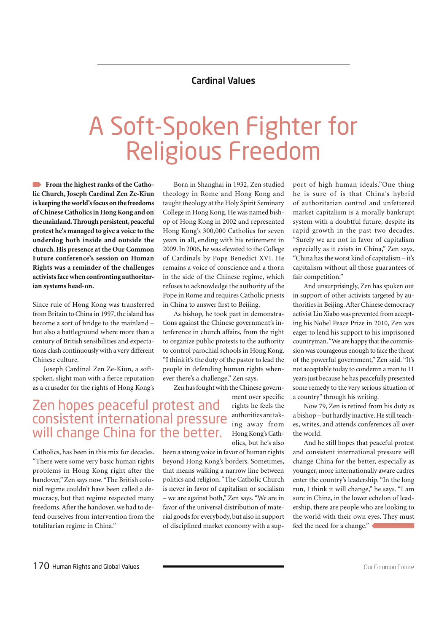### Cardinal Values

## A Soft-Spoken Fighter for Religious Freedom

**From the highest ranks of the Catholic Church, Joseph Cardinal Zen Ze-Kiun is keeping the world's focus on the freedoms of Chinese Catholics in Hong Kong and on the mainland. Through persistent, peaceful protest he's managed to give a voice to the underdog both inside and outside the church. His presence at the Our Common Future conference's session on Human Rights was a reminder of the challenges activists face when confronting authoritarian systems head-on.**

Since rule of Hong Kong was transferred from Britain to China in 1997, the island has become a sort of bridge to the mainland – but also a battleground where more than a century of British sensibilities and expectations clash continuously with a very different Chinese culture.

Joseph Cardinal Zen Ze-Kiun, a softspoken, slight man with a fierce reputation as a crusader for the rights of Hong Kong's

Born in Shanghai in 1932, Zen studied theology in Rome and Hong Kong and taught theology at the Holy Spirit Seminary College in Hong Kong. He was named bishop of Hong Kong in 2002 and represented Hong Kong's 300,000 Catholics for seven years in all, ending with his retirement in 2009. In 2006, he was elevated to the College of Cardinals by Pope Benedict XVI. He remains a voice of conscience and a thorn in the side of the Chinese regime, which refuses to acknowledge the authority of the Pope in Rome and requires Catholic priests in China to answer first to Beijing.

As bishop, he took part in demonstrations against the Chinese government's interference in church affairs, from the right to organize public protests to the authority to control parochial schools in Hong Kong. "I think it's the duty of the pastor to lead the people in defending human rights whenever there's a challenge," Zen says.

Zen has fought with the Chinese govern-

## Zen hopes peaceful protest and consistent international pressure will change China for the better.

Catholics, has been in this mix for decades. "There were some very basic human rights problems in Hong Kong right after the handover," Zen says now. "The British colonial regime couldn't have been called a democracy, but that regime respected many freedoms. After the handover, we had to defend ourselves from intervention from the totalitarian regime in China."

ment over specific rights he feels the authorities are taking away from Hong Kong's Catholics, but he's also

been a strong voice in favor of human rights beyond Hong Kong's borders. Sometimes, that means walking a narrow line between politics and religion. "The Catholic Church is never in favor of capitalism or socialism – we are against both," Zen says. "We are in favor of the universal distribution of material goods for everybody, but also in support of disciplined market economy with a support of high human ideals."One thing he is sure of is that China's hybrid of authoritarian control and unfettered market capitalism is a morally bankrupt system with a doubtful future, despite its rapid growth in the past two decades. "Surely we are not in favor of capitalism especially as it exists in China," Zen says. "China has the worst kind of capitalism – it's capitalism without all those guarantees of fair competition."

And unsurprisingly, Zen has spoken out in support of other activists targeted by authorities in Beijing. After Chinese democracy activist Liu Xiabo was prevented from accepting his Nobel Peace Prize in 2010, Zen was eager to lend his support to his imprisoned countryman. "We are happy that the commission was courageous enough to face the threat of the powerful government," Zen said. "It's not acceptable today to condemn a man to 11 years just because he has peacefully presented some remedy to the very serious situation of a country" through his writing.

Now 79, Zen is retired from his duty as a bishop – but hardly inactive. He still teaches, writes, and attends conferences all over the world.

And he still hopes that peaceful protest and consistent international pressure will change China for the better, especially as younger, more internationally aware cadres enter the country's leadership. "In the long run, I think it will change," he says. "I am sure in China, in the lower echelon of leadership, there are people who are looking to the world with their own eyes. They must feel the need for a change."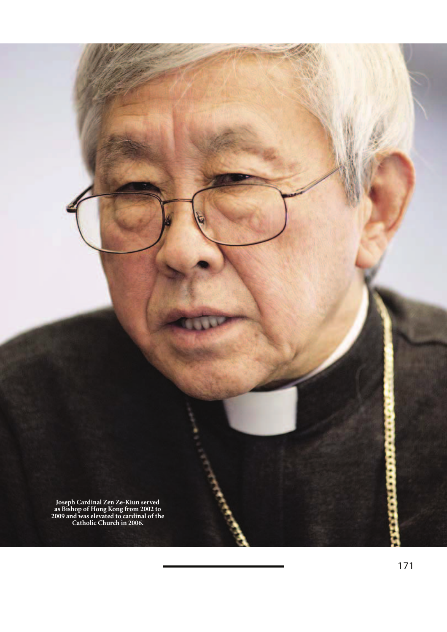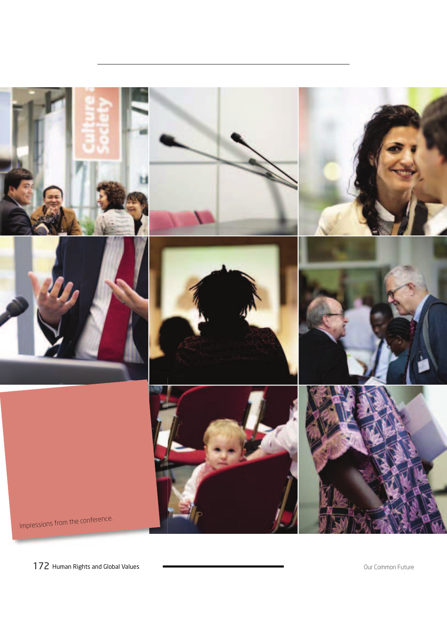